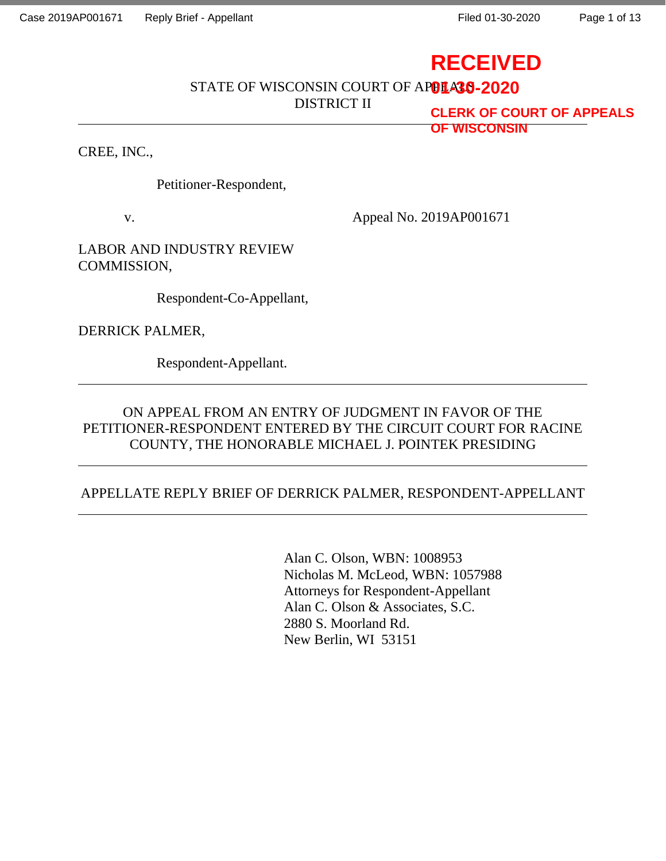Page 1 of 13

# **RECEIVED**

STATE OF WISCONSIN COURT OF AP**OLA30-2020** 

DISTRICT II

**CLERK OF COURT OF APPEALS OF WISCONSIN**

CREE, INC.,

Petitioner-Respondent,

v. Appeal No. 2019AP001671

LABOR AND INDUSTRY REVIEW COMMISSION,

Respondent-Co-Appellant,

DERRICK PALMER,

Respondent-Appellant.

## ON APPEAL FROM AN ENTRY OF JUDGMENT IN FAVOR OF THE PETITIONER-RESPONDENT ENTERED BY THE CIRCUIT COURT FOR RACINE COUNTY, THE HONORABLE MICHAEL J. POINTEK PRESIDING

## APPELLATE REPLY BRIEF OF DERRICK PALMER, RESPONDENT-APPELLANT

Alan C. Olson, WBN: 1008953 Nicholas M. McLeod, WBN: 1057988 Attorneys for Respondent-Appellant Alan C. Olson & Associates, S.C. 2880 S. Moorland Rd. New Berlin, WI 53151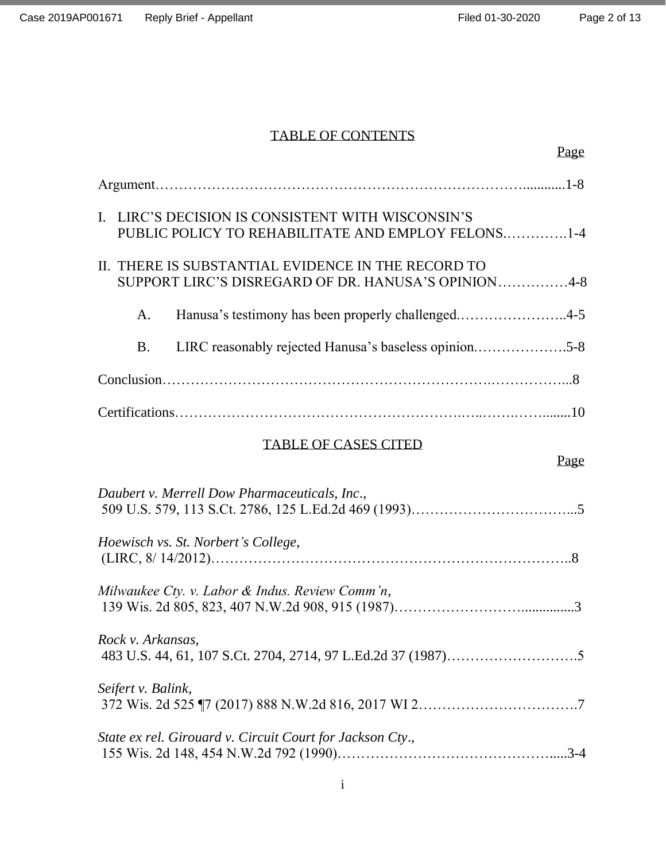## TABLE OF CONTENTS

| Page                                                                                                      |
|-----------------------------------------------------------------------------------------------------------|
|                                                                                                           |
| I. LIRC'S DECISION IS CONSISTENT WITH WISCONSIN'S<br>PUBLIC POLICY TO REHABILITATE AND EMPLOY FELONS1-4   |
| II. THERE IS SUBSTANTIAL EVIDENCE IN THE RECORD TO<br>SUPPORT LIRC'S DISREGARD OF DR. HANUSA'S OPINION4-8 |
| Hanusa's testimony has been properly challenged4-5<br>A.                                                  |
| LIRC reasonably rejected Hanusa's baseless opinion5-8<br><b>B.</b>                                        |
|                                                                                                           |
|                                                                                                           |
| <b>TABLE OF CASES CITED</b><br>Page                                                                       |
| Daubert v. Merrell Dow Pharmaceuticals, Inc.,                                                             |
| Hoewisch vs. St. Norbert's College,                                                                       |
| Milwaukee Cty. v. Labor & Indus. Review Comm'n,                                                           |
| Rock v. Arkansas,                                                                                         |
| Seifert v. Balink,                                                                                        |
| State ex rel. Girouard v. Circuit Court for Jackson Cty.,                                                 |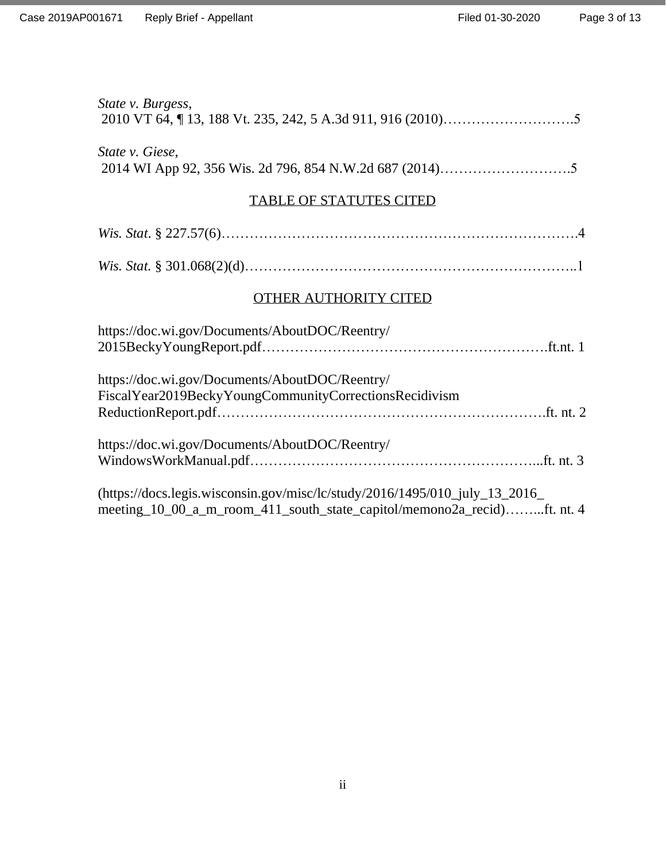| State v. Burgess,                                                                                                                                      |
|--------------------------------------------------------------------------------------------------------------------------------------------------------|
| State v. Giese,                                                                                                                                        |
| <b>TABLE OF STATUTES CITED</b>                                                                                                                         |
|                                                                                                                                                        |
|                                                                                                                                                        |
| <b>OTHER AUTHORITY CITED</b>                                                                                                                           |
| https://doc.wi.gov/Documents/AboutDOC/Reentry/                                                                                                         |
| https://doc.wi.gov/Documents/AboutDOC/Reentry/<br>FiscalYear2019BeckyYoungCommunityCorrectionsRecidivism                                               |
| https://doc.wi.gov/Documents/AboutDOC/Reentry/                                                                                                         |
| (https://docs.legis.wisconsin.gov/misc/lc/study/2016/1495/010_july_13_2016_<br>meeting_10_00_a_m_room_411_south_state_capitol/memono2a_recid)ft. nt. 4 |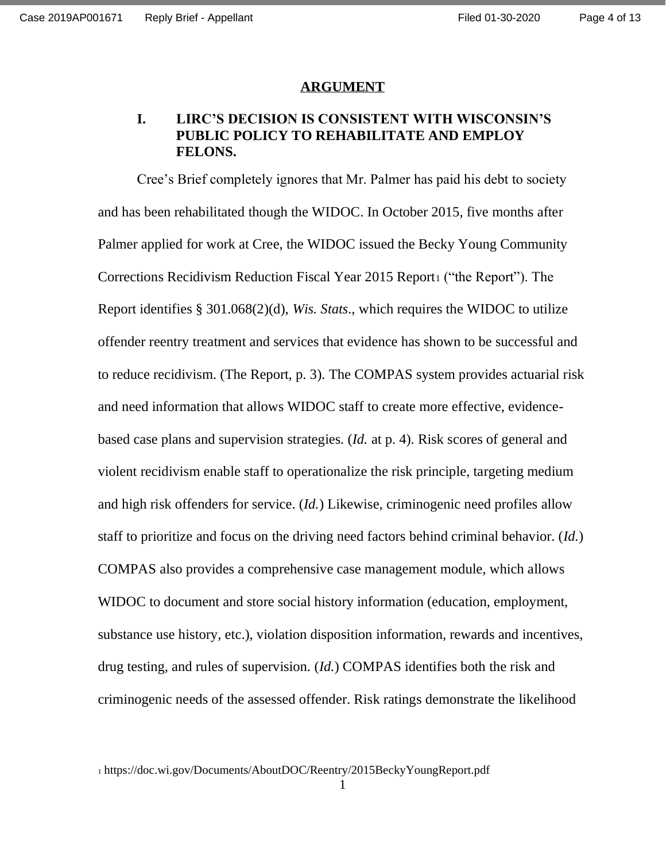#### **ARGUMENT**

### **I. LIRC'S DECISION IS CONSISTENT WITH WISCONSIN'S PUBLIC POLICY TO REHABILITATE AND EMPLOY FELONS.**

Cree's Brief completely ignores that Mr. Palmer has paid his debt to society and has been rehabilitated though the WIDOC. In October 2015, five months after Palmer applied for work at Cree, the WIDOC issued the Becky Young Community Corrections Recidivism Reduction Fiscal Year 2015 Report ("the Report"). The Report identifies § 301.068(2)(d), *Wis. Stats*., which requires the WIDOC to utilize offender reentry treatment and services that evidence has shown to be successful and to reduce recidivism. (The Report, p. 3). The COMPAS system provides actuarial risk and need information that allows WIDOC staff to create more effective, evidencebased case plans and supervision strategies. (*Id.* at p. 4). Risk scores of general and violent recidivism enable staff to operationalize the risk principle, targeting medium and high risk offenders for service. (*Id.*) Likewise, criminogenic need profiles allow staff to prioritize and focus on the driving need factors behind criminal behavior. (*Id.*) COMPAS also provides a comprehensive case management module, which allows WIDOC to document and store social history information (education, employment, substance use history, etc.), violation disposition information, rewards and incentives, drug testing, and rules of supervision. (*Id.*) COMPAS identifies both the risk and criminogenic needs of the assessed offender. Risk ratings demonstrate the likelihood

<sup>1</sup> https://doc.wi.gov/Documents/AboutDOC/Reentry/2015BeckyYoungReport.pdf

1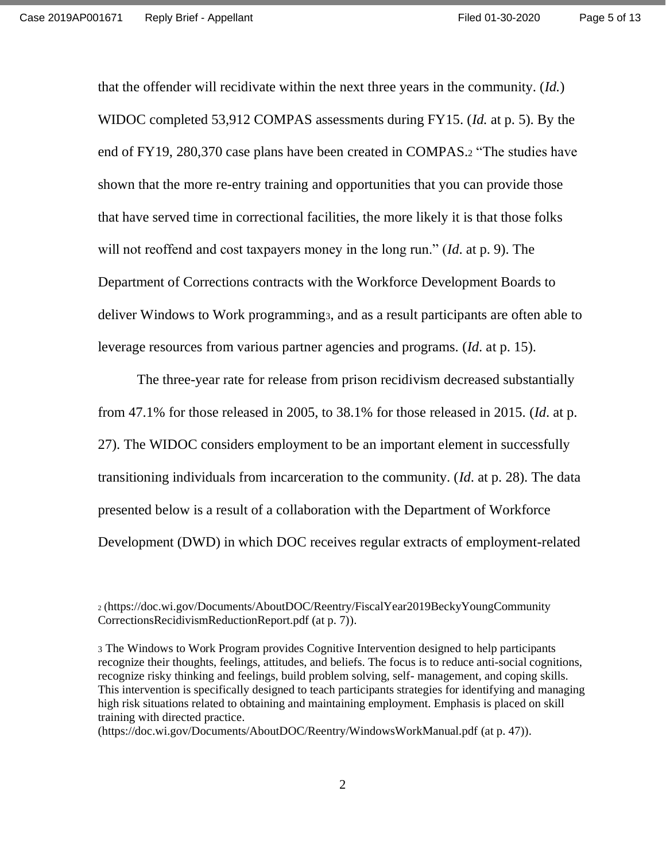that the offender will recidivate within the next three years in the community. (*Id.*) WIDOC completed 53,912 COMPAS assessments during FY15. (*Id.* at p. 5). By the end of FY19, 280,370 case plans have been created in COMPAS.<sup>2</sup> "The studies have shown that the more re-entry training and opportunities that you can provide those that have served time in correctional facilities, the more likely it is that those folks will not reoffend and cost taxpayers money in the long run." (*Id*. at p. 9). The Department of Corrections contracts with the Workforce Development Boards to deliver Windows to Work programming<sub>3</sub>, and as a result participants are often able to leverage resources from various partner agencies and programs. (*Id*. at p. 15).

The three-year rate for release from prison recidivism decreased substantially from 47.1% for those released in 2005, to 38.1% for those released in 2015. (*Id*. at p. 27). The WIDOC considers employment to be an important element in successfully transitioning individuals from incarceration to the community. (*Id*. at p. 28). The data presented below is a result of a collaboration with the Department of Workforce Development (DWD) in which DOC receives regular extracts of employment-related

<sup>2</sup> (https://doc.wi.gov/Documents/AboutDOC/Reentry/FiscalYear2019BeckyYoungCommunity CorrectionsRecidivismReductionReport.pdf (at p. 7)).

<sup>3</sup> The Windows to Work Program provides Cognitive Intervention designed to help participants recognize their thoughts, feelings, attitudes, and beliefs. The focus is to reduce anti-social cognitions, recognize risky thinking and feelings, build problem solving, self- management, and coping skills. This intervention is specifically designed to teach participants strategies for identifying and managing high risk situations related to obtaining and maintaining employment. Emphasis is placed on skill training with directed practice.

<sup>(</sup>https://doc.wi.gov/Documents/AboutDOC/Reentry/WindowsWorkManual.pdf (at p. 47)).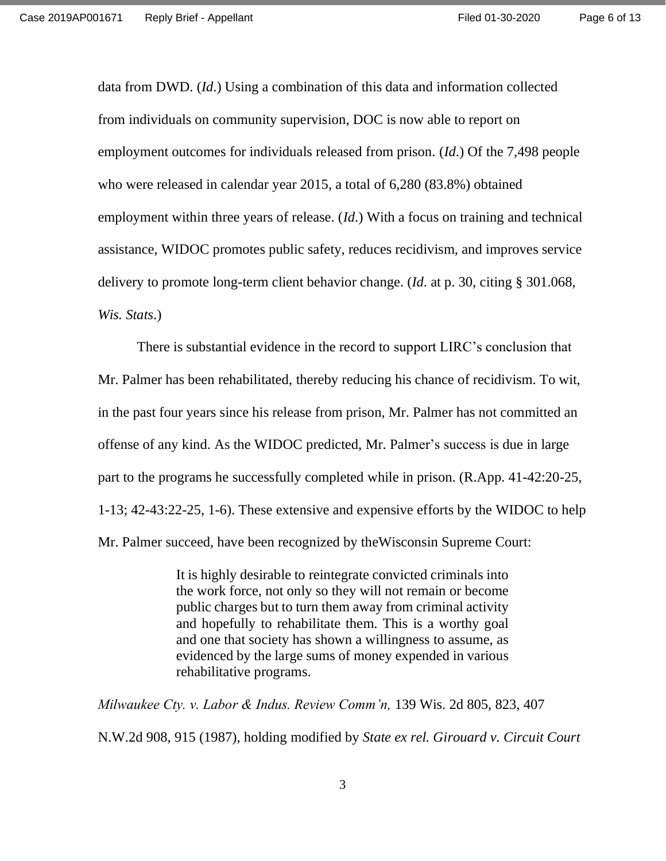data from DWD. (*Id*.) Using a combination of this data and information collected from individuals on community supervision, DOC is now able to report on employment outcomes for individuals released from prison. (*Id*.) Of the 7,498 people who were released in calendar year 2015, a total of 6,280 (83.8%) obtained employment within three years of release. (*Id*.) With a focus on training and technical assistance, WIDOC promotes public safety, reduces recidivism, and improves service delivery to promote long-term client behavior change. (*Id*. at p. 30, citing § 301.068, *Wis. Stats*.)

There is substantial evidence in the record to support LIRC's conclusion that Mr. Palmer has been rehabilitated, thereby reducing his chance of recidivism. To wit, in the past four years since his release from prison, Mr. Palmer has not committed an offense of any kind. As the WIDOC predicted, Mr. Palmer's success is due in large part to the programs he successfully completed while in prison. (R.App. 41-42:20-25, 1-13; 42-43:22-25, 1-6). These extensive and expensive efforts by the WIDOC to help Mr. Palmer succeed, have been recognized by theWisconsin Supreme Court:

> It is highly desirable to reintegrate convicted criminals into the work force, not only so they will not remain or become public charges but to turn them away from criminal activity and hopefully to rehabilitate them. This is a worthy goal and one that society has shown a willingness to assume, as evidenced by the large sums of money expended in various rehabilitative programs.

*Milwaukee Cty. v. Labor & Indus. Review Comm'n,* 139 Wis. 2d 805, 823, 407 N.W.2d 908, 915 (1987), holding modified by *State ex rel. Girouard v. Circuit Court* 

3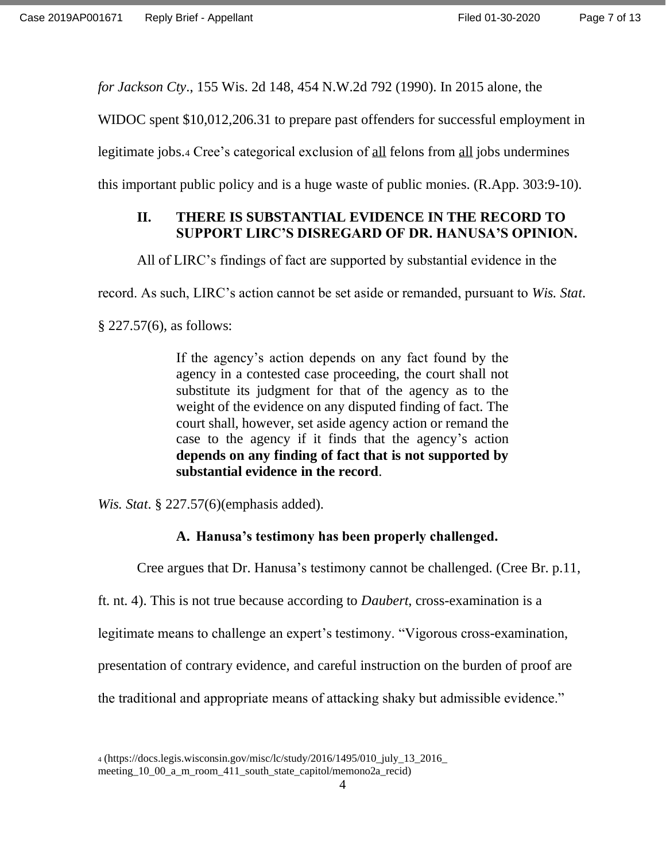*for Jackson Cty*., 155 Wis. 2d 148, 454 N.W.2d 792 (1990). In 2015 alone, the

WIDOC spent \$10,012,206.31 to prepare past offenders for successful employment in

legitimate jobs.<sup>4</sup> Cree's categorical exclusion of all felons from all jobs undermines

this important public policy and is a huge waste of public monies. (R.App. 303:9-10).

## **II. THERE IS SUBSTANTIAL EVIDENCE IN THE RECORD TO SUPPORT LIRC'S DISREGARD OF DR. HANUSA'S OPINION.**

All of LIRC's findings of fact are supported by substantial evidence in the

record. As such, LIRC's action cannot be set aside or remanded, pursuant to *Wis. Stat*.

§ 227.57(6), as follows:

If the agency's action depends on any fact found by the agency in a contested case proceeding, the court shall not substitute its judgment for that of the agency as to the weight of the evidence on any disputed finding of fact. The court shall, however, set aside agency action or remand the case to the agency if it finds that the agency's action **depends on any finding of fact that is not supported by substantial evidence in the record**.

*Wis. Stat*. § 227.57(6)(emphasis added).

#### **A. Hanusa's testimony has been properly challenged.**

Cree argues that Dr. Hanusa's testimony cannot be challenged. (Cree Br. p.11,

ft. nt. 4). This is not true because according to *Daubert*, cross-examination is a

legitimate means to challenge an expert's testimony. "Vigorous cross-examination,

presentation of contrary evidence, and careful instruction on the burden of proof are

the traditional and appropriate means of attacking shaky but admissible evidence."

<sup>4</sup> (https://docs.legis.wisconsin.gov/misc/lc/study/2016/1495/010\_july\_13\_2016\_ meeting\_10\_00\_a\_m\_room\_411\_south\_state\_capitol/memono2a\_recid)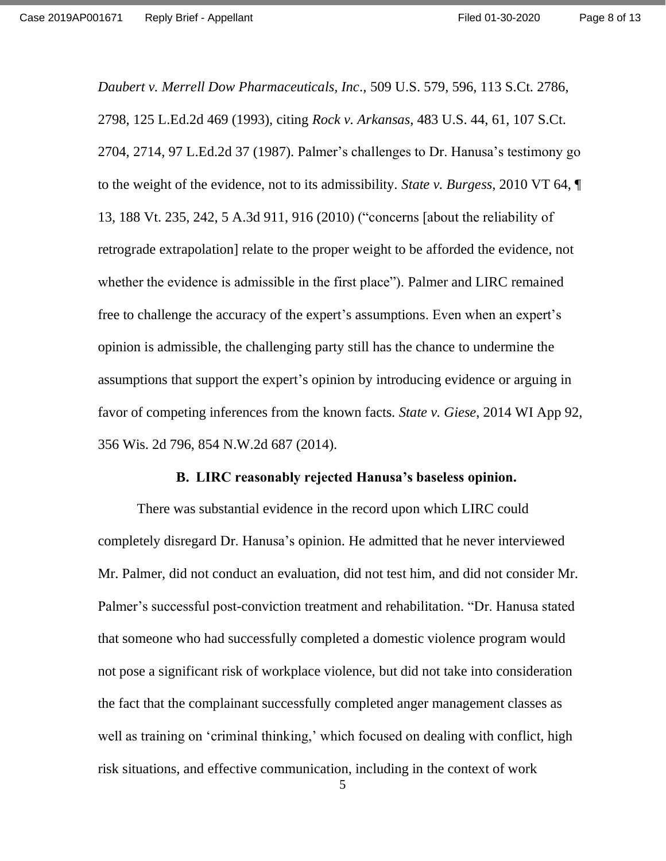*Daubert v. Merrell Dow Pharmaceuticals, Inc*., 509 U.S. 579, 596, 113 S.Ct. 2786, 2798, 125 L.Ed.2d 469 (1993), citing *Rock v. Arkansas*, 483 U.S. 44, 61, 107 S.Ct. 2704, 2714, 97 L.Ed.2d 37 (1987). Palmer's challenges to Dr. Hanusa's testimony go to the weight of the evidence, not to its admissibility. *State v. Burgess*, 2010 VT 64, ¶ 13, 188 Vt. 235, 242, 5 A.3d 911, 916 (2010) ("concerns [about the reliability of retrograde extrapolation] relate to the proper weight to be afforded the evidence, not whether the evidence is admissible in the first place"). Palmer and LIRC remained free to challenge the accuracy of the expert's assumptions. Even when an expert's opinion is admissible, the challenging party still has the chance to undermine the assumptions that support the expert's opinion by introducing evidence or arguing in favor of competing inferences from the known facts. *State v. Giese*, 2014 WI App 92, 356 Wis. 2d 796, 854 N.W.2d 687 (2014).

#### **B. LIRC reasonably rejected Hanusa's baseless opinion.**

There was substantial evidence in the record upon which LIRC could completely disregard Dr. Hanusa's opinion. He admitted that he never interviewed Mr. Palmer, did not conduct an evaluation, did not test him, and did not consider Mr. Palmer's successful post-conviction treatment and rehabilitation. "Dr. Hanusa stated that someone who had successfully completed a domestic violence program would not pose a significant risk of workplace violence, but did not take into consideration the fact that the complainant successfully completed anger management classes as well as training on 'criminal thinking,' which focused on dealing with conflict, high risk situations, and effective communication, including in the context of work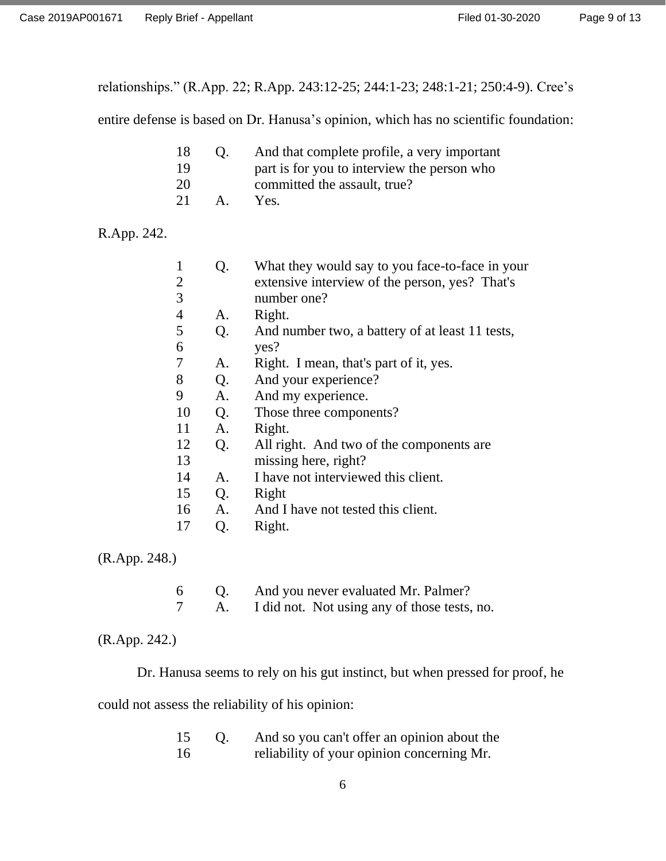relationships." (R.App. 22; R.App. 243:12-25; 244:1-23; 248:1-21; 250:4-9). Cree's

entire defense is based on Dr. Hanusa's opinion, which has no scientific foundation:

| 18 | O <sub>1</sub>       | And that complete profile, a very important |
|----|----------------------|---------------------------------------------|
| 19 |                      | part is for you to interview the person who |
| 20 |                      | committed the assault, true?                |
| 21 | $\mathsf{A}_{\cdot}$ | Yes.                                        |

## R.App. 242.

| 1              | Q.             | What they would say to you face-to-face in your |
|----------------|----------------|-------------------------------------------------|
| $\overline{2}$ |                | extensive interview of the person, yes? That's  |
| 3              |                | number one?                                     |
| $\overline{4}$ | A.             | Right.                                          |
| 5              | Q.             | And number two, a battery of at least 11 tests, |
| 6              |                | yes?                                            |
| 7              | A.             | Right. I mean, that's part of it, yes.          |
| 8              | Q <sub>r</sub> | And your experience?                            |
| 9              | A <sub>1</sub> | And my experience.                              |
| 10             | Q.             | Those three components?                         |
| 11             | A <sub>1</sub> | Right.                                          |
| 12             | Q <sub>r</sub> | All right. And two of the components are        |
| 13             |                | missing here, right?                            |
| 14             | A.             | I have not interviewed this client.             |
| 15             | Q.             | Right                                           |
| 16             | A <sub>1</sub> | And I have not tested this client.              |
| 17             | Q.             | Right.                                          |
|                |                |                                                 |

(R.App. 248.)

| -6 | And you never evaluated Mr. Palmer?          |
|----|----------------------------------------------|
|    | I did not. Not using any of those tests, no. |

## (R.App. 242.)

Dr. Hanusa seems to rely on his gut instinct, but when pressed for proof, he

could not assess the reliability of his opinion:

| 15 | And so you can't offer an opinion about the |
|----|---------------------------------------------|
| 16 | reliability of your opinion concerning Mr.  |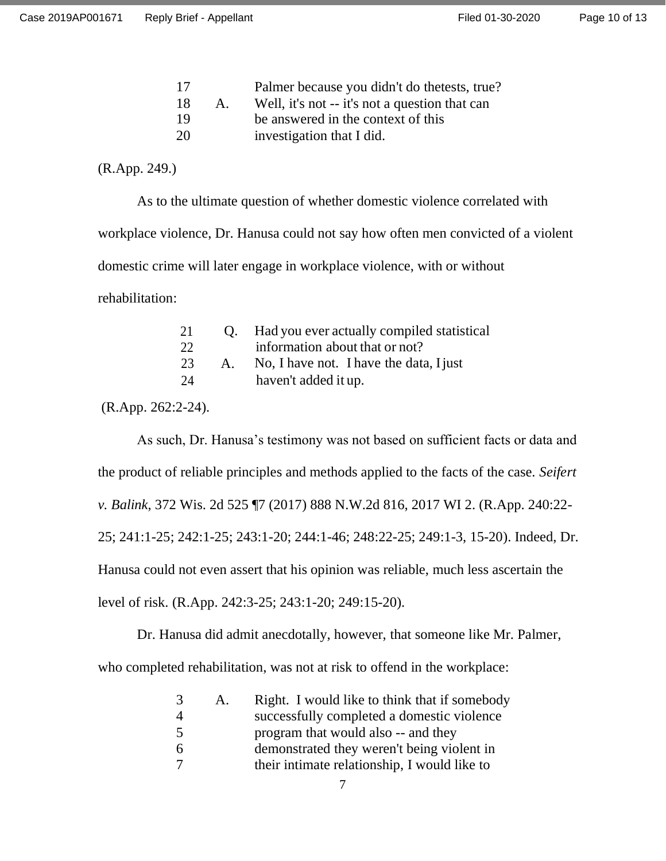| 17 |             | Palmer because you didn't do the tests, true?  |
|----|-------------|------------------------------------------------|
| 18 | $A_{\cdot}$ | Well, it's not -- it's not a question that can |
| 19 |             | be answered in the context of this             |
| 20 |             | investigation that I did.                      |

(R.App. 249.)

As to the ultimate question of whether domestic violence correlated with workplace violence, Dr. Hanusa could not say how often men convicted of a violent domestic crime will later engage in workplace violence, with or without rehabilitation:

| 21 |                      | Q. Had you ever actually compiled statistical |
|----|----------------------|-----------------------------------------------|
| 22 |                      | information about that or not?                |
| 23 | $\mathsf{A}_{\cdot}$ | No, I have not. I have the data, I just       |
| 24 |                      | haven't added it up.                          |

(R.App. 262:2-24).

As such, Dr. Hanusa's testimony was not based on sufficient facts or data and the product of reliable principles and methods applied to the facts of the case. *Seifert v. Balink*, 372 Wis. 2d 525 ¶7 (2017) 888 N.W.2d 816, 2017 WI 2. (R.App. 240:22- 25; 241:1-25; 242:1-25; 243:1-20; 244:1-46; 248:22-25; 249:1-3, 15-20). Indeed, Dr. Hanusa could not even assert that his opinion was reliable, much less ascertain the level of risk. (R.App. 242:3-25; 243:1-20; 249:15-20).

Dr. Hanusa did admit anecdotally, however, that someone like Mr. Palmer, who completed rehabilitation, was not at risk to offend in the workplace:

| 3 | A. | Right. I would like to think that if somebody |
|---|----|-----------------------------------------------|
|   |    | successfully completed a domestic violence    |
| 5 |    | program that would also -- and they           |
| 6 |    | demonstrated they weren't being violent in    |
|   |    | their intimate relationship, I would like to  |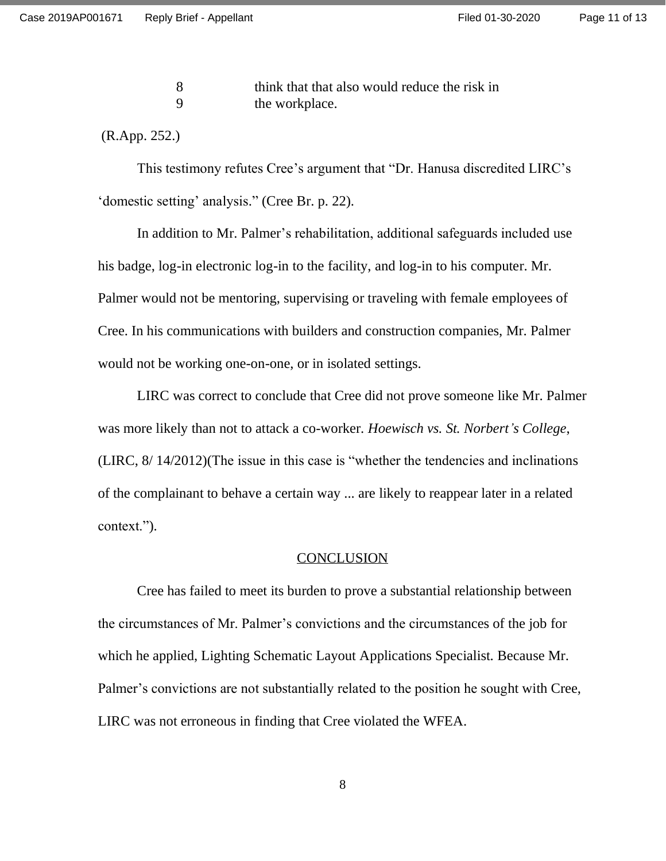Page 11 of 13

8 think that that also would reduce the risk in 9 the workplace.

(R.App. 252.)

This testimony refutes Cree's argument that "Dr. Hanusa discredited LIRC's 'domestic setting' analysis." (Cree Br. p. 22).

In addition to Mr. Palmer's rehabilitation, additional safeguards included use his badge, log-in electronic log-in to the facility, and log-in to his computer. Mr. Palmer would not be mentoring, supervising or traveling with female employees of Cree. In his communications with builders and construction companies, Mr. Palmer would not be working one-on-one, or in isolated settings.

LIRC was correct to conclude that Cree did not prove someone like Mr. Palmer was more likely than not to attack a co-worker. *Hoewisch vs. St. Norbert's College*, (LIRC, 8/ 14/2012)(The issue in this case is "whether the tendencies and inclinations of the complainant to behave a certain way ... are likely to reappear later in a related context.").

#### **CONCLUSION**

Cree has failed to meet its burden to prove a substantial relationship between the circumstances of Mr. Palmer's convictions and the circumstances of the job for which he applied, Lighting Schematic Layout Applications Specialist. Because Mr. Palmer's convictions are not substantially related to the position he sought with Cree, LIRC was not erroneous in finding that Cree violated the WFEA.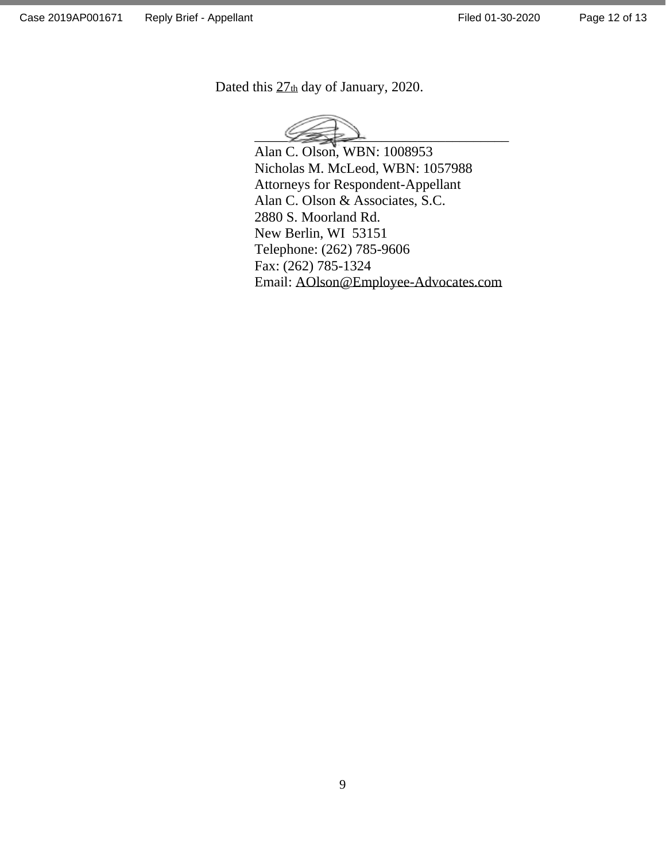Dated this  $27<sub>th</sub>$  day of January, 2020.



Alan C. Olson, WBN: 1008953 Nicholas M. McLeod, WBN: 1057988 Attorneys for Respondent-Appellant Alan C. Olson & Associates, S.C. 2880 S. Moorland Rd. New Berlin, WI 53151 Telephone: (262) 785-9606 Fax: (262) 785-1324 Email: AOlson@Employee-Advocates.com